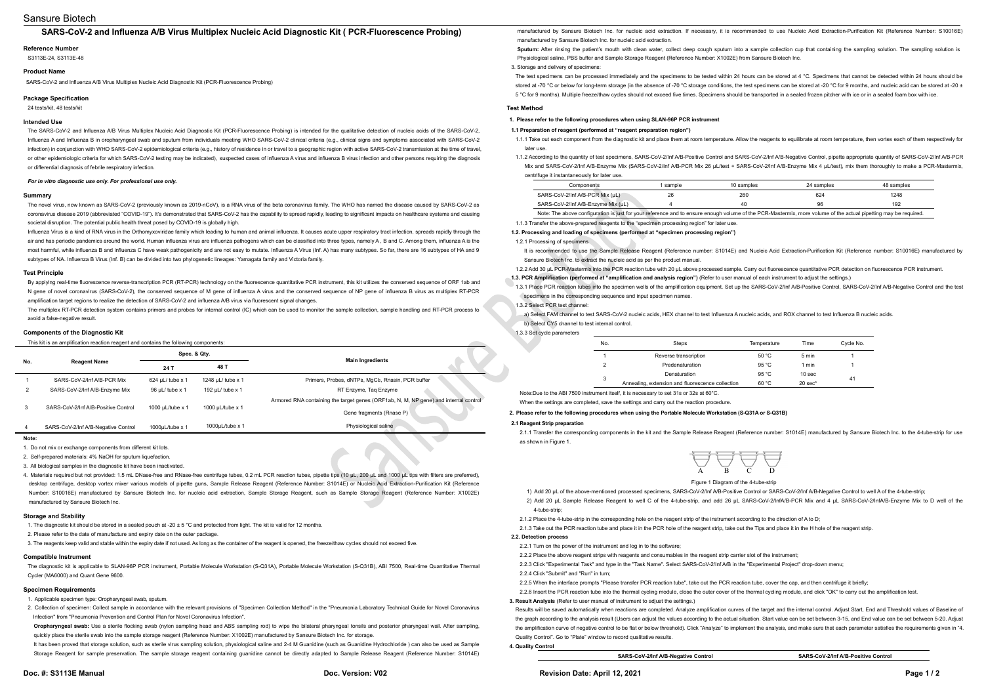# Sansure Biotech

## **SARS-CoV-2 and Influenza A/B Virus Multiplex Nucleic Acid Diagnostic Kit ( PCR-Fluorescence Probing)**

### **Reference Number**

S3113E-24, S3113E-48

#### **Product Name**

SARS-CoV-2 and Influenza A/B Virus Multiplex Nucleic Acid Diagnostic Kit (PCR-Fluorescence Probing)

#### **Package Specification**

24 tests/kit, 48 tests/kit

### **Intended Use**

The SARS-CoV-2 and Influenza A/B Virus Multiplex Nucleic Acid Diagnostic Kit (PCR-Fluorescence Probing) is intended for the qualitative detection of nucleic acids of the SARS-CoV-2, Influenza A and Influenza B in oropharyngeal swab and sputum from individuals meeting WHO SARS-CoV-2 clinical criteria (e.g., clinical signs and symptoms associated with SARS-CoV-2 infection) in conjunction with WHO SARS-CoV-2 epidemiological criteria (e.g., history of residence in or travel to a geographic region with active SARS-CoV-2 transmission at the time of travel, or other epidemiologic criteria for which SARS-CoV-2 testing may be indicated), suspected cases of influenza A virus and influenza B virus infection and other persons requiring the diagnosis or differential diagnosis of febrile respiratory infection.

By applying real-time fluorescence reverse-transcription PCR (RT-PCR) technology on the fluorescence quantitative PCR instrument, this kitutilizes the conserved sequence of ORF 1ab and N gene of novel coronavirus (SARS-CoV-2), the conserved sequence of M gene of influenza A virus and the conserved sequence of NP gene of influenza B virus as multiplex RT-PCR amplification target regions to realize the detection of SARS-CoV-2 and influenza A/B virus via fluorescent signal changes

### *For in vitro diagnostic use only. For professional use only.*

#### **Summary**

The novel virus, now known as SARS-CoV-2 (previously known as 2019-nCoV), is a RNA virus of the beta coronavirus family. The WHO has named the disease caused by SARS-CoV-2 as coronavirus disease 2019 (abbreviated "COVID-19"). It's demonstrated that SARS-CoV-2 has the capability to spread rapidly, leading to significant impacts on healthcare systems and causing societal disruption. The potential public health threat posed by COVID-19 is globally high.

Influenza Virus is a kind of RNA virus in the Orthomyxoviridae family which leading to human and animal influenza. It causes acute upper respiratory tract infection, spreads rapidly through the air and has periodic pandemics around the world. Human influenza virus are influenza pathogens which can be classified into three types, namely A, B and C. Among them, influenza A is the most harmful, while influenza B and influenza C have weak pathogenicity and are not easy to mutate. Influenza A Virus (Inf. A) has many subtypes. So far, there are 16 subtypes of HA and 9 subtypes of NA. Influenza B Virus (Inf. B) can be divided into two phylogenetic lineages: Yamagata family and Victoria family.

The multiplex RT-PCR detection system contains primers and probes for internal control (IC) which can be used to monitor the sample collection, sample handling and RT-PCR process to avoid a false-negative result

3. All biological samples in the diagnostic kit have been inactivated.<br>4. Materials required but not provided: 1.5 mL DNase-free and RNase-free centrifuge tubes, 0.2 mL PCR reaction tubes, pipette tips (10 µL, 200 µL and desktop centrifuge, desktop vortex mixer various models of pipette guns, Sample Release Reagent (Reference Number: S1014E) or Nucleic Acid Extraction-Purification Kit (Reference Number: S10016E) manufactured by Sansure Biotech Inc. for nucleic acid extraction, Sample Storage Reagent, such as Sample Storage Reagent (Reference Number: X1002E) manufactured by Sansure Biotech Inc.

#### **Test Principle**

The diagnostic kit is applicable to SLAN-96P PCR instrument. Portable Molecule Workstation (S-Q31A), Portable Molecule Workstation (S-Q31B), ABI 7500, Real-time Quantitative Thermal Cycler (MA6000) and Quant Gene 9600.

Oropharyngeal swab: Use a sterile flocking swab (nylon sampling head and ABS sampling rod) to wipe the bilateral pharyngeal tonsils and posterior pharyngeal wall. After sampling, quickly place the sterile swab into the sample storage reagent (Reference Number: X1002E) manufactured by Sansure Biotech Inc. for storage.

It has been proved that storage solution, such as sterile virus sampling solution, physiological saline and 2-4 M Guanidine (such as Guanidine Hydrochloride) can also be used as Sample Storage Reagent for sample preservation. The sample storage reagent containing guanidine cannot be directly adapted to Sample Release Reagent (Reference Number: S1014E)

#### **Components of the Diagnostic Kit**

This kit is an amplification reaction reagent and contains the following components:

|                    | <b>Reagent Name</b>                 | Spec. & Qty.          |                       |                                                                                                                  |
|--------------------|-------------------------------------|-----------------------|-----------------------|------------------------------------------------------------------------------------------------------------------|
| No.                |                                     | 24 T                  | 48 T                  | <b>Main Ingredients</b>                                                                                          |
|                    | SARS-CoV-2/Inf A/B-PCR Mix          | $624$ µL/ tube x 1    | 1248 µL/ tube x 1     | Primers, Probes, dNTPs, MgCl2, Rnasin, PCR buffer                                                                |
|                    | SARS-CoV-2/Inf A/B-Enzyme Mix       | 96 µL/ tube x 1       | 192 µL/ tube x 1      | RT Enzyme, Taq Enzyme                                                                                            |
| 3                  | SARS-CoV-2/Inf A/B-Positive Control | 1000 $\mu$ L/tube x 1 | 1000 µL/tube x 1      | Armored RNA containing the target genes (ORF1ab, N, M, NP gene) and internal control<br>Gene fragments (Rnase P) |
| 4                  | SARS-CoV-2/Inf A/B-Negative Control | 1000 $\mu$ L/tube x 1 | 1000 $\mu$ L/tube x 1 | Physiological saline                                                                                             |
| <b>New Service</b> |                                     |                       |                       |                                                                                                                  |

**Note:**

1. Do not mix or exchange components from different kit lots.

2. Self-prepared materials: 4% NaOH for sputum liquefaction.

1.1.2 According to the quantity of test specimens, SARS-CoV-2/Inf A/B-Positive Control and SARS-CoV-2/Inf A/B-Negative Control, pipette appropriate quantity of SARS-CoV-2/Inf A/B-PCR Mix and SARS-CoV-2/Inf A/B-Enzyme Mix (SARS-CoV-2/Inf A/B-PCR Mix 26 μL/test + SARS-CoV-2/Inf A/B-Enzyme Mix 4 μL/test), mix them thoroughly to make a PCR-Mastermix,

#### **Storage and Stability**

1. The diagnostic kit should be stored in a sealed pouch at -20  $\pm$  5 °C and protected from light. The kit is valid for 12 months.

2. Please refer to the date of manufacture and expiry date on the outer package.

3. The reagents keep valid and stable within the expiry date if not used. As long as the containerofthe reagent is opened, the freeze/thaw cycles should not exceed five.

Note:Due to the ABI 7500 instrument itself, it is necessary to set 31s or 32s at 60°C. When the settings are completed, save the settings and carry out the reaction procedure.

## **Compatible Instrument**

#### **Specimen Requirements**

1. Applicable specimen type: Oropharyngeal swab, sputum.

2. Collection of specimen: Collect sample in accordance with the relevant provisions of "Specimen Collection Method" in the "Pneumonia Laboratory Technical Guide for Novel Coronavirus Infection" from "Pneumonia Prevention and Control Plan for Novel Coronavirus Infection".

2.2.2 Place the above reagent strips with reagents and consumables in the reagent strip carrier slot of the instrument; 2.2.3 Click "Experimental Task" and type in the "Task Name". Select SARS-CoV-2/Inf A/B in the "Experimental Project" drop-down menu; 2.2.4 Click "Submit" and "Run" in turn;

2.2.5 When the interface prompts "Please transfer PCR reaction tube", take out the PCR reaction tube, cover the cap, and then centrifuge it briefly; 2.2.6 Insert the PCR reaction tube into the thermal cycling module, close the outer cover of the thermal cycling module, and click "OK" to carry out the amplification test.

Results will be saved automatically when reactions are completed. Analyze amplification curves of the target and the internal control. Adjust Start, End and Threshold values of Baseline of the graph according to the analysis result (Users can adjust the values according to the actual situation. Start value can be set between 3-15, and End value can be set between 5-20. Adjust the amplification curve of negative control to be flat or below threshold). Click "Analyze" to implement the analysis, and make sure that each parameter satisfies the requirements given in "4. Quality Control". Go to "Plate" window to record qualitative results.

manufactured by Sansure Biotech Inc. for nucleic acid extraction. If necessary, it is recommended to use Nucleic Acid Extraction-Purification Kit (Reference Number: S10016E) manufactured by Sansure Biotech Inc. for nucleic acid extraction.

Sputum: After rinsing the patient's mouth with clean water, collect deep cough sputum into a sample collection cup that containing the sampling solution. The sampling solution is<br>Physiological saline, PBS buffer and Sample

3. Storage and delivery of specimens:

The test specimens can be processed immediately and the specimens to be tested within 24 hours can be stored at 4 °C. Specimens that cannot be detected within 24 hours should be stored at -70 °C or below for long-term storage (in the absence of -70 °C storage conditions, the test specimens can be stored at -20 °C for 9 months, and nucleic acid can be stored at -20 ± 5 °C for 9 months). Multiple freeze/thaw cycles should not exceed five times. Specimens should be transported in a sealed frozen pitcher with ice or in a sealed foam box with ice.

#### **Test Method**

# **1. Please refer to the following procedures when using SLAN-96P PCR instrument**

**1.1 Preparation of reagent (performed at "reagent preparation region")**

- 1.1.1 Take out each componentfrom the diagnostic kit and place them at room temperature. Allow the reagents to equilibrate at room temperature, then vortex each of them respectively for later use.
- centrifuge it instantaneously for later use.

| Components                                                                                                                                                      | sample | 10 samples | 24 samples | 48 samples |
|-----------------------------------------------------------------------------------------------------------------------------------------------------------------|--------|------------|------------|------------|
| SARS-CoV-2/Inf A/B-PCR Mix (µL)                                                                                                                                 | 26     | 260        | 624        | 1248       |
| SARS-CoV-2/Inf A/B-Enzyme Mix (µL)                                                                                                                              |        | 40         | 96         | 192        |
| Note: The above configuration is just for your reference and to ensure enough volume of the PCR-Mastermix, more volume of the actual pipetting may be required. |        |            |            |            |

1.1.3 Transfer the above-prepared reagents to the "specimen processing region" for later use.

**1.2. Processing and loading of specimens (performed at "specimen processing region")** 1.2.1 Processing of specimens

It is recommended to use the Sample Release Reagent (Reference number: S1014E) and Nucleic Acid Extraction-Purification Kit (Reference number: S10016E) manufactured by Sansure Biotech Inc. to extract the nucleic acid as per the product manual.

1.2.2 Add 30 μL PCR-Mastermix into the PCR reaction tube with 20 μL above processed sample. Carry out fluorescence quantitative PCR detection on fluorescence PCR instrument.

**1.3. PCR Amplification (performed at "amplification and analysis region")**(Refer to user manual of each instrument to adjust the settings.)

1.3.1 Place PCR reaction tubes into the specimen wells of the amplification equipment. Set up the SARS-CoV-2/Inf A/B-Positive Control, SARS-CoV-2/Inf A/B-Negative Control and the test specimens in the corresponding sequence and input specimen names.

## 1.3.2 Select PCR test channel:

a) Select FAM channel to test SARS-CoV-2 nucleic acids, HEX channel to test Influenza A nucleic acids, and ROX channel to test Influenza B nucleic acids*.* b) Select CY5 channel to test internal control.

1.3.3 Set cycle parameters

| No. | Steps                                            | Temperature | Time              | Cycle No. |
|-----|--------------------------------------------------|-------------|-------------------|-----------|
|     | Reverse transcription                            | 50 °C       | 5 min             |           |
| 2   | Predenaturation                                  | 95 $°C$     | 1 min             |           |
|     | Denaturation                                     | 95 $°C$     | 10 <sub>sec</sub> | 41        |
| 3   | Annealing, extension and fluorescence collection | 60 °C       | $20$ sec $*$      |           |

## **2. Please refer to the following procedures when using the Portable Molecule Workstation (S-Q31A or S-Q31B)**

#### **2.1 Reagent Strip preparation**

2.1.1 Transfer the corresponding components in the kit and the Sample Release Reagent (Reference number: S1014E) manufactured by Sansure Biotech Inc. to the 4-tube-strip for use

1) Add 20 μL of the above-mentioned processed specimens, SARS-CoV-2/Inf A/B-Positive Control or SARS-CoV-2/Inf A/B-Negative Control to well A of the 4-tube-strip; 2) Add 20 μL Sample Release Reagent to well C of the 4-tube-strip, and add 26 μL SARS-CoV-2/InfA/B-PCR Mix and 4 μL SARS-CoV-2/InfA/B-Enzyme Mix to D well of the 4-tube-strip;

2.1.2 Place the 4-tube-strip in the corresponding hole on the reagent strip of the instrument according to the direction of A to D;

2.1.3 Take out the PCR reaction tube and place it in the PCR hole of the reagent strip, take out the Tips and place it in the H hole of the reagent strip. **2.2. Detection process**

2.2.1 Turn on the power of the instrument and log in to the software:



**3. Result Analysis** (Refer to user manual of instrument to adjust the settings.)

**4. Quality Control**

**SARS-CoV-2/Inf A/B-Negative Control SARS-CoV-2/Inf A/B-Positive Control**